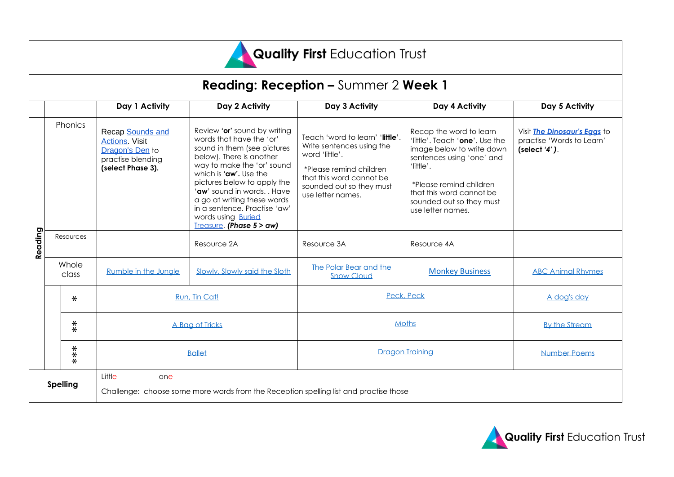

### **Reading: Reception –** Summer 2 **Week 1**

|                 |                        |        | Day 1 Activity                                                                                         | Day 2 Activity                                                                                                                                                                                                                                                                                                                                                    | Day 3 Activity                                                                                                                                                                         | Day 4 Activity                                                                                                                                                                                                                           | Day 5 Activity                                                               |
|-----------------|------------------------|--------|--------------------------------------------------------------------------------------------------------|-------------------------------------------------------------------------------------------------------------------------------------------------------------------------------------------------------------------------------------------------------------------------------------------------------------------------------------------------------------------|----------------------------------------------------------------------------------------------------------------------------------------------------------------------------------------|------------------------------------------------------------------------------------------------------------------------------------------------------------------------------------------------------------------------------------------|------------------------------------------------------------------------------|
| Reading         | <b>Phonics</b>         |        | Recap Sounds and<br><b>Actions</b> Visit<br>Dragon's Den to<br>practise blending<br>(select Phase 3).  | Review 'or' sound by writing<br>words that have the 'or'<br>sound in them (see pictures<br>below). There is another<br>way to make the 'or' sound<br>which is 'aw'. Use the<br>pictures below to apply the<br>'aw' sound in words. . Have<br>a go at writing these words<br>in a sentence. Practise 'aw'<br>words using <b>Buried</b><br>Treasure. (Phase 5 > aw) | Teach 'word to learn' 'little'.<br>Write sentences using the<br>word 'little'.<br>*Please remind children<br>that this word cannot be<br>sounded out so they must<br>use letter names. | Recap the word to learn<br>'little'. Teach 'one'. Use the<br>image below to write down<br>sentences using 'one' and<br>'little'.<br>*Please remind children<br>that this word cannot be<br>sounded out so they must<br>use letter names. | Visit The Dinosaur's Eggs to<br>practise 'Words to Learn'<br>(select $4$ '). |
|                 | Resources              |        |                                                                                                        | Resource 2A                                                                                                                                                                                                                                                                                                                                                       | Resource 3A                                                                                                                                                                            | Resource 4A                                                                                                                                                                                                                              |                                                                              |
|                 | Whole<br>class         |        | Rumble in the Jungle                                                                                   | Slowly, Slowly said the Sloth                                                                                                                                                                                                                                                                                                                                     | The Polar Bear and the<br><b>Snow Cloud</b>                                                                                                                                            | <b>Monkey Business</b>                                                                                                                                                                                                                   | <b>ABC Animal Rhymes</b>                                                     |
|                 |                        | $\ast$ | Run, Tin Cat!                                                                                          |                                                                                                                                                                                                                                                                                                                                                                   | Peck, Peck                                                                                                                                                                             |                                                                                                                                                                                                                                          | A dog's day                                                                  |
|                 | $\frac{*}{*}$<br>$***$ |        | A Bag of Tricks                                                                                        |                                                                                                                                                                                                                                                                                                                                                                   | Moths                                                                                                                                                                                  |                                                                                                                                                                                                                                          | <b>By the Stream</b>                                                         |
|                 |                        |        | <b>Ballet</b>                                                                                          |                                                                                                                                                                                                                                                                                                                                                                   | Dragon Training                                                                                                                                                                        |                                                                                                                                                                                                                                          | <b>Number Poems</b>                                                          |
| <b>Spelling</b> |                        |        | Little<br>one<br>Challenge: choose some more words from the Reception spelling list and practise those |                                                                                                                                                                                                                                                                                                                                                                   |                                                                                                                                                                                        |                                                                                                                                                                                                                                          |                                                                              |

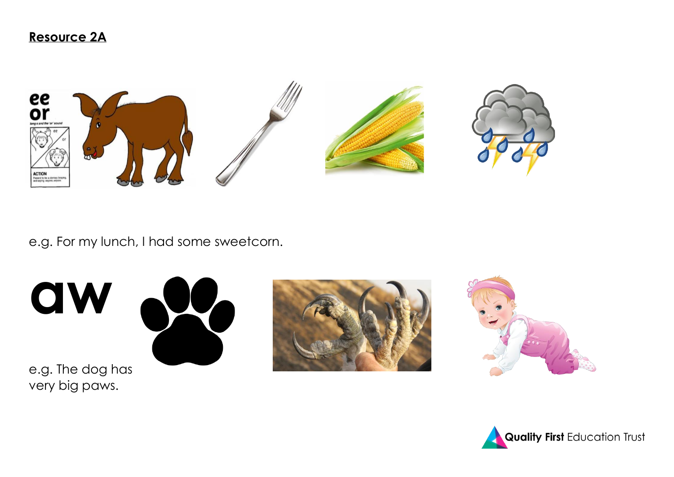

e.g. For my lunch, I had some sweetcorn.

**aw**



e.g. The dog has very big paws.





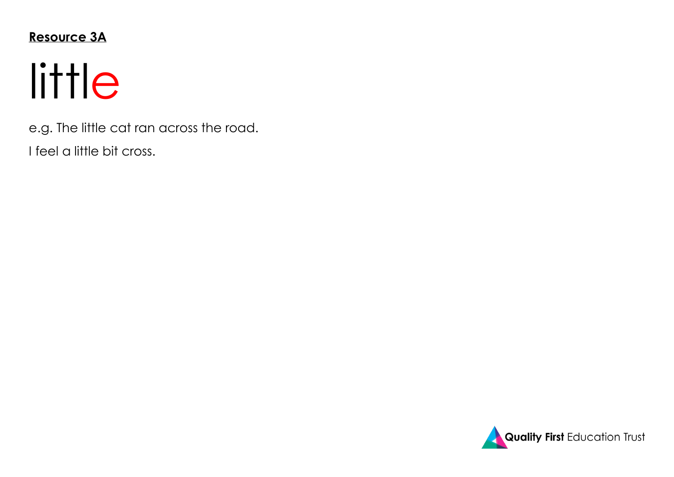### **Resource 3A**

# little

e.g. The little cat ran across the road.

I feel a little bit cross.